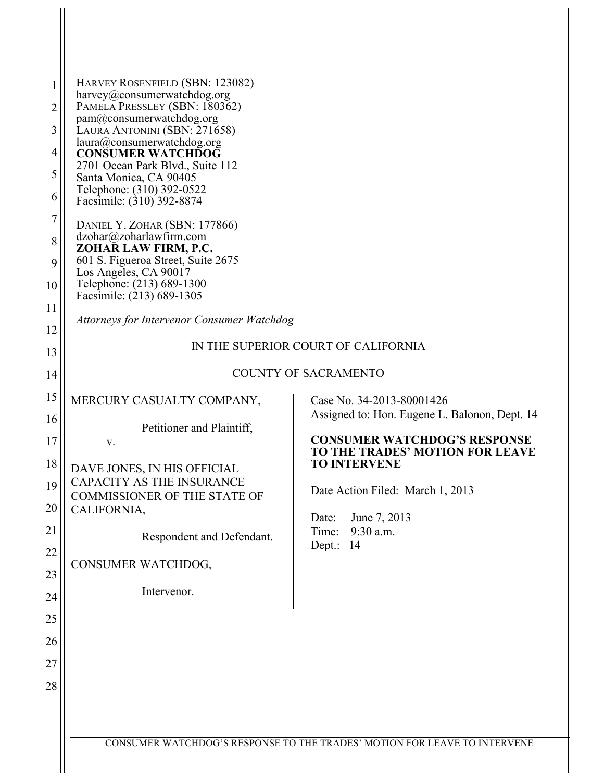| 1<br>2<br>3<br>4<br>5<br>6<br>7<br>8<br>9<br>10<br>11                            | HARVEY ROSENFIELD (SBN: 123082)<br>harvey@consumerwatchdog.org<br>PAMELA PRESSLEY (SBN: 180362)<br>pam@consumerwatchdog.org<br>LAURA ANTONINI (SBN: 271658)<br>laura@consumerwatchdog.org<br><b>CONSUMER WATCHDOG</b><br>2701 Ocean Park Blvd., Suite 112<br>Santa Monica, CA 90405<br>Telephone: (310) 392-0522<br>Facsimile: (310) 392-8874<br>DANIEL Y. ZOHAR (SBN: 177866)<br>dzohar@zoharlawfirm.com<br>ZOHAR LAW FIRM, P.C.<br>601 S. Figueroa Street, Suite 2675<br>Los Angeles, CA 90017<br>Telephone: (213) 689-1300<br>Facsimile: (213) 689-1305 |                                                                                                                                                                                                                                                                                          |  |  |
|----------------------------------------------------------------------------------|------------------------------------------------------------------------------------------------------------------------------------------------------------------------------------------------------------------------------------------------------------------------------------------------------------------------------------------------------------------------------------------------------------------------------------------------------------------------------------------------------------------------------------------------------------|------------------------------------------------------------------------------------------------------------------------------------------------------------------------------------------------------------------------------------------------------------------------------------------|--|--|
| 12                                                                               | <b>Attorneys for Intervenor Consumer Watchdog</b>                                                                                                                                                                                                                                                                                                                                                                                                                                                                                                          |                                                                                                                                                                                                                                                                                          |  |  |
| 13                                                                               | IN THE SUPERIOR COURT OF CALIFORNIA                                                                                                                                                                                                                                                                                                                                                                                                                                                                                                                        |                                                                                                                                                                                                                                                                                          |  |  |
| 14                                                                               | <b>COUNTY OF SACRAMENTO</b>                                                                                                                                                                                                                                                                                                                                                                                                                                                                                                                                |                                                                                                                                                                                                                                                                                          |  |  |
| 15<br>16<br>17<br>18<br>19<br>20<br>21<br>22<br>23<br>24<br>25<br>26<br>27<br>28 | MERCURY CASUALTY COMPANY,<br>Petitioner and Plaintiff,<br>V.<br>DAVE JONES, IN HIS OFFICIAL<br><b>CAPACITY AS THE INSURANCE</b><br><b>COMMISSIONER OF THE STATE OF</b><br>CALIFORNIA,<br>Respondent and Defendant.<br>CONSUMER WATCHDOG,<br>Intervenor.                                                                                                                                                                                                                                                                                                    | Case No. 34-2013-80001426<br>Assigned to: Hon. Eugene L. Balonon, Dept. 14<br><b>CONSUMER WATCHDOG'S RESPONSE</b><br><b>TO THE TRADES' MOTION FOR LEAVE</b><br><b>TO INTERVENE</b><br>Date Action Filed: March 1, 2013<br>Date:<br>June 7, 2013<br>9:30 a.m.<br>Time:<br>14<br>$Dept$ .: |  |  |
|                                                                                  |                                                                                                                                                                                                                                                                                                                                                                                                                                                                                                                                                            | CONSUMER WATCHDOG'S RESPONSE TO THE TRADES' MOTION FOR LEAVE TO INTERVENE                                                                                                                                                                                                                |  |  |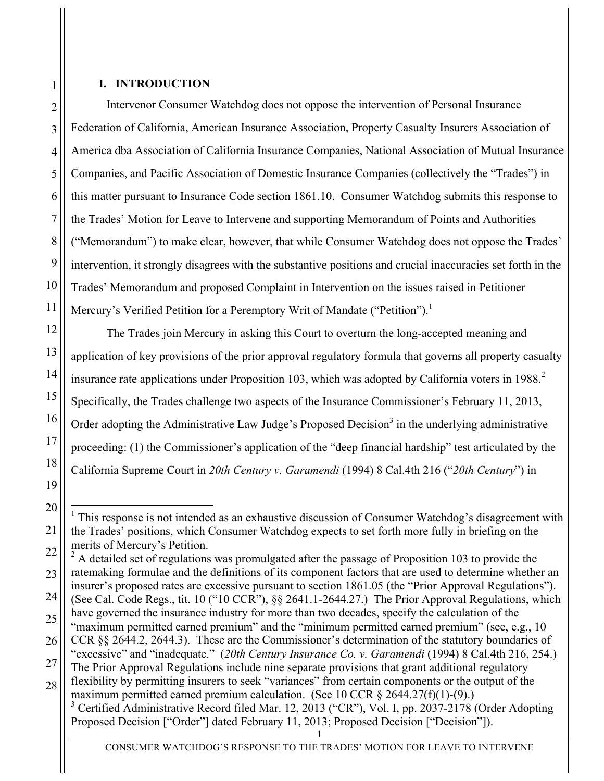### **I. INTRODUCTION**

Intervenor Consumer Watchdog does not oppose the intervention of Personal Insurance Federation of California, American Insurance Association, Property Casualty Insurers Association of America dba Association of California Insurance Companies, National Association of Mutual Insurance Companies, and Pacific Association of Domestic Insurance Companies (collectively the "Trades") in this matter pursuant to Insurance Code section 1861.10. Consumer Watchdog submits this response to the Trades' Motion for Leave to Intervene and supporting Memorandum of Points and Authorities ("Memorandum") to make clear, however, that while Consumer Watchdog does not oppose the Trades' intervention, it strongly disagrees with the substantive positions and crucial inaccuracies set forth in the Trades' Memorandum and proposed Complaint in Intervention on the issues raised in Petitioner Mercury's Verified Petition for a Peremptory Writ of Mandate ("Petition").<sup>1</sup>

The Trades join Mercury in asking this Court to overturn the long-accepted meaning and application of key provisions of the prior approval regulatory formula that governs all property casualty insurance rate applications under Proposition 103, which was adopted by California voters in 1988.<sup>2</sup> Specifically, the Trades challenge two aspects of the Insurance Commissioner's February 11, 2013, Order adopting the Administrative Law Judge's Proposed Decision<sup>3</sup> in the underlying administrative proceeding: (1) the Commissioner's application of the "deep financial hardship" test articulated by the California Supreme Court in *20th Century v. Garamendi* (1994) 8 Cal.4th 216 ("*20th Century*") in

<sup>3</sup> Certified Administrative Record filed Mar. 12, 2013 ("CR"), Vol. I, pp. 2037-2178 (Order Adopting Proposed Decision ["Order"] dated February 11, 2013; Proposed Decision ["Decision"]).

1

2

 $1$ . This response is not intended as an exhaustive discussion of Consumer Watchdog's disagreement with the Trades' positions, which Consumer Watchdog expects to set forth more fully in briefing on the merits of Mercury's Petition.

 $2^2$  A detailed set of regulations was promulgated after the passage of Proposition 103 to provide the ratemaking formulae and the definitions of its component factors that are used to determine whether an insurer's proposed rates are excessive pursuant to section 1861.05 (the "Prior Approval Regulations"). (See Cal. Code Regs., tit. 10 ("10 CCR"), §§ 2641.1-2644.27.) The Prior Approval Regulations, which

have governed the insurance industry for more than two decades, specify the calculation of the "maximum permitted earned premium" and the "minimum permitted earned premium" (see, e.g., 10 CCR §§ 2644.2, 2644.3). These are the Commissioner's determination of the statutory boundaries of

<sup>&</sup>quot;excessive" and "inadequate." (*20th Century Insurance Co. v. Garamendi* (1994) 8 Cal.4th 216, 254.) The Prior Approval Regulations include nine separate provisions that grant additional regulatory

flexibility by permitting insurers to seek "variances" from certain components or the output of the maximum permitted earned premium calculation. (See 10 CCR § 2644.27(f)(1)-(9).)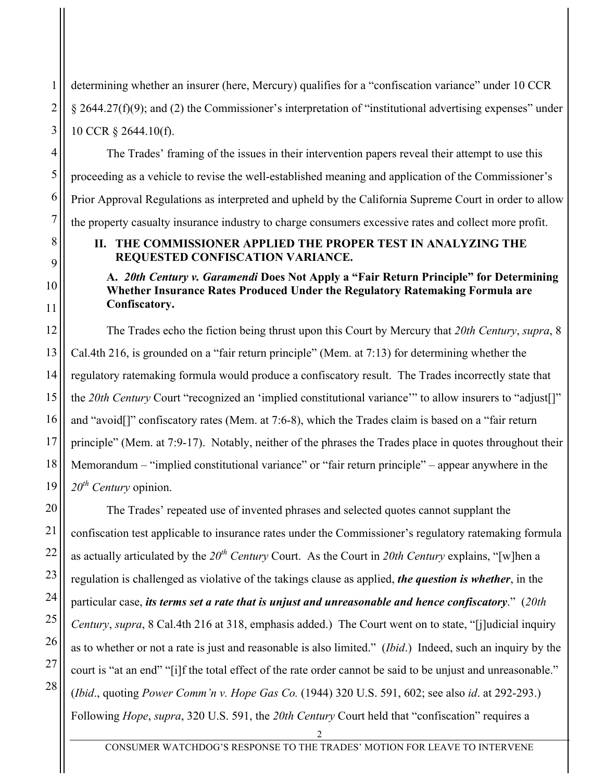determining whether an insurer (here, Mercury) qualifies for a "confiscation variance" under 10 CCR § 2644.27(f)(9); and (2) the Commissioner's interpretation of "institutional advertising expenses" under 10 CCR § 2644.10(f).

The Trades' framing of the issues in their intervention papers reveal their attempt to use this proceeding as a vehicle to revise the well-established meaning and application of the Commissioner's Prior Approval Regulations as interpreted and upheld by the California Supreme Court in order to allow the property casualty insurance industry to charge consumers excessive rates and collect more profit.

### **II. THE COMMISSIONER APPLIED THE PROPER TEST IN ANALYZING THE REQUESTED CONFISCATION VARIANCE.**

### **A.** *20th Century v. Garamendi* **Does Not Apply a "Fair Return Principle" for Determining Whether Insurance Rates Produced Under the Regulatory Ratemaking Formula are Confiscatory.**

The Trades echo the fiction being thrust upon this Court by Mercury that *20th Century*, *supra*, 8 Cal.4th 216, is grounded on a "fair return principle" (Mem. at 7:13) for determining whether the regulatory ratemaking formula would produce a confiscatory result. The Trades incorrectly state that the *20th Century* Court "recognized an 'implied constitutional variance'" to allow insurers to "adjust[]" and "avoid[]" confiscatory rates (Mem. at 7:6-8), which the Trades claim is based on a "fair return principle" (Mem. at 7:9-17). Notably, neither of the phrases the Trades place in quotes throughout their Memorandum – "implied constitutional variance" or "fair return principle" – appear anywhere in the *20th Century* opinion.

The Trades' repeated use of invented phrases and selected quotes cannot supplant the confiscation test applicable to insurance rates under the Commissioner's regulatory ratemaking formula as actually articulated by the  $20<sup>th</sup>$  *Century* Court. As the Court in 20th *Century* explains, "[w]hen a regulation is challenged as violative of the takings clause as applied, *the question is whether*, in the particular case, *its terms set a rate that is unjust and unreasonable and hence confiscatory*." (*20th Century*, *supra*, 8 Cal.4th 216 at 318, emphasis added.) The Court went on to state, "[j]udicial inquiry as to whether or not a rate is just and reasonable is also limited." (*Ibid*.) Indeed, such an inquiry by the court is "at an end" "[i]f the total effect of the rate order cannot be said to be unjust and unreasonable." (*Ibid*., quoting *Power Comm'n v. Hope Gas Co.* (1944) 320 U.S. 591, 602; see also *id*. at 292-293.) Following *Hope*, *supra*, 320 U.S. 591, the *20th Century* Court held that "confiscation" requires a

1

2

3

2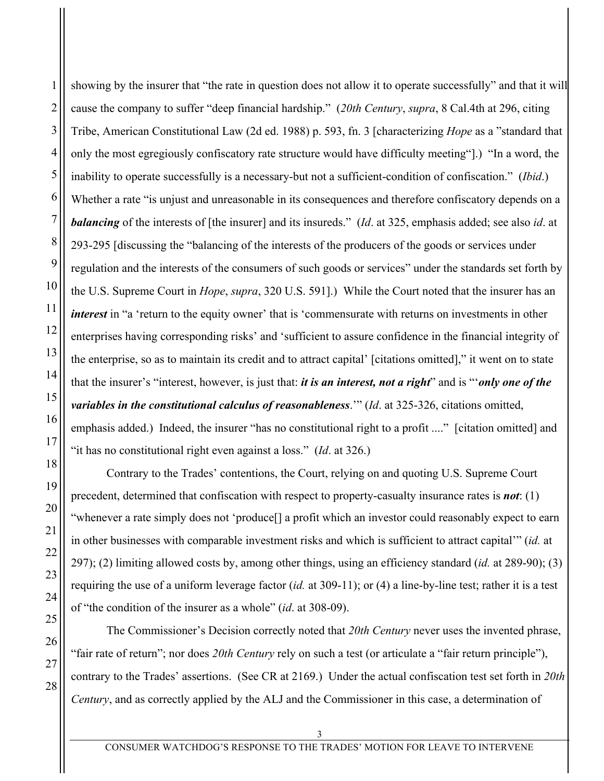showing by the insurer that "the rate in question does not allow it to operate successfully" and that it will cause the company to suffer "deep financial hardship." (*20th Century*, *supra*, 8 Cal.4th at 296, citing Tribe, American Constitutional Law (2d ed. 1988) p. 593, fn. 3 [characterizing *Hope* as a "standard that only the most egregiously confiscatory rate structure would have difficulty meeting"].) "In a word, the inability to operate successfully is a necessary-but not a sufficient-condition of confiscation." (*Ibid*.) Whether a rate "is unjust and unreasonable in its consequences and therefore confiscatory depends on a **balancing** of the interests of [the insurer] and its insureds." (*Id.* at 325, emphasis added; see also *id.* at 293-295 [discussing the "balancing of the interests of the producers of the goods or services under regulation and the interests of the consumers of such goods or services" under the standards set forth by the U.S. Supreme Court in *Hope*, *supra*, 320 U.S. 591].) While the Court noted that the insurer has an *interest* in "a 'return to the equity owner' that is 'commensurate with returns on investments in other enterprises having corresponding risks' and 'sufficient to assure confidence in the financial integrity of the enterprise, so as to maintain its credit and to attract capital' [citations omitted]," it went on to state that the insurer's "interest, however, is just that: *it is an interest, not a right*" and is "'*only one of the variables in the constitutional calculus of reasonableness*.'" (*Id*. at 325-326, citations omitted, emphasis added.) Indeed, the insurer "has no constitutional right to a profit ...." [citation omitted] and "it has no constitutional right even against a loss." (*Id*. at 326.)

Contrary to the Trades' contentions, the Court, relying on and quoting U.S. Supreme Court precedent, determined that confiscation with respect to property-casualty insurance rates is *not*: (1) "whenever a rate simply does not 'produce[] a profit which an investor could reasonably expect to earn in other businesses with comparable investment risks and which is sufficient to attract capital'" (*id.* at 297); (2) limiting allowed costs by, among other things, using an efficiency standard (*id.* at 289-90); (3) requiring the use of a uniform leverage factor (*id.* at 309-11); or (4) a line-by-line test; rather it is a test of "the condition of the insurer as a whole" (*id*. at 308-09).

The Commissioner's Decision correctly noted that *20th Century* never uses the invented phrase, "fair rate of return"; nor does *20th Century* rely on such a test (or articulate a "fair return principle"), contrary to the Trades' assertions. (See CR at 2169.) Under the actual confiscation test set forth in *20th Century*, and as correctly applied by the ALJ and the Commissioner in this case, a determination of

1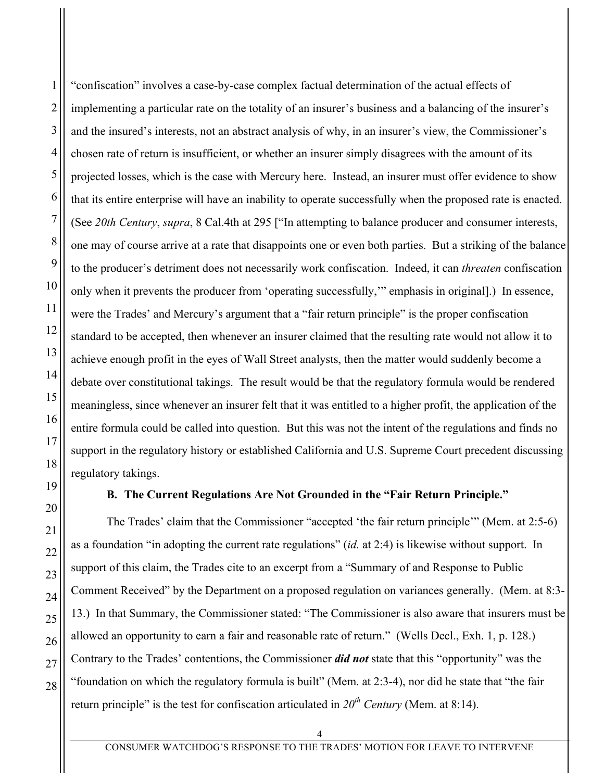28

"confiscation" involves a case-by-case complex factual determination of the actual effects of implementing a particular rate on the totality of an insurer's business and a balancing of the insurer's and the insured's interests, not an abstract analysis of why, in an insurer's view, the Commissioner's chosen rate of return is insufficient, or whether an insurer simply disagrees with the amount of its projected losses, which is the case with Mercury here. Instead, an insurer must offer evidence to show that its entire enterprise will have an inability to operate successfully when the proposed rate is enacted. (See *20th Century*, *supra*, 8 Cal.4th at 295 ["In attempting to balance producer and consumer interests, one may of course arrive at a rate that disappoints one or even both parties. But a striking of the balance to the producer's detriment does not necessarily work confiscation. Indeed, it can *threaten* confiscation only when it prevents the producer from 'operating successfully,'" emphasis in original].) In essence, were the Trades' and Mercury's argument that a "fair return principle" is the proper confiscation standard to be accepted, then whenever an insurer claimed that the resulting rate would not allow it to achieve enough profit in the eyes of Wall Street analysts, then the matter would suddenly become a debate over constitutional takings. The result would be that the regulatory formula would be rendered meaningless, since whenever an insurer felt that it was entitled to a higher profit, the application of the entire formula could be called into question. But this was not the intent of the regulations and finds no support in the regulatory history or established California and U.S. Supreme Court precedent discussing regulatory takings.

# **B. The Current Regulations Are Not Grounded in the "Fair Return Principle."**

The Trades' claim that the Commissioner "accepted 'the fair return principle'" (Mem. at 2:5-6) as a foundation "in adopting the current rate regulations" (*id.* at 2:4) is likewise without support. In support of this claim, the Trades cite to an excerpt from a "Summary of and Response to Public Comment Received" by the Department on a proposed regulation on variances generally. (Mem. at 8:3- 13.) In that Summary, the Commissioner stated: "The Commissioner is also aware that insurers must be allowed an opportunity to earn a fair and reasonable rate of return." (Wells Decl., Exh. 1, p. 128.) Contrary to the Trades' contentions, the Commissioner *did not* state that this "opportunity" was the "foundation on which the regulatory formula is built" (Mem. at 2:3-4), nor did he state that "the fair return principle" is the test for confiscation articulated in  $20^{th}$  *Century* (Mem. at 8:14).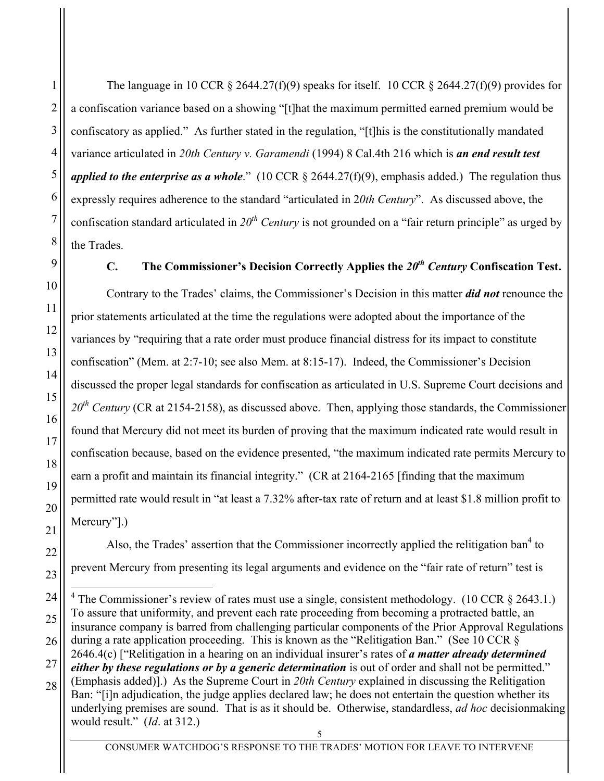1

2

3

4

The language in 10 CCR  $\S$  2644.27(f)(9) speaks for itself. 10 CCR  $\S$  2644.27(f)(9) provides for a confiscation variance based on a showing "[t]hat the maximum permitted earned premium would be confiscatory as applied." As further stated in the regulation, "[t]his is the constitutionally mandated variance articulated in *20th Century v. Garamendi* (1994) 8 Cal.4th 216 which is *an end result test applied to the enterprise as a whole*." (10 CCR § 2644.27(f)(9), emphasis added.) The regulation thus expressly requires adherence to the standard "articulated in 2*0th Century*". As discussed above, the confiscation standard articulated in 20<sup>th</sup> *Century* is not grounded on a "fair return principle" as urged by the Trades.

# **C. The Commissioner's Decision Correctly Applies the**  $20<sup>th</sup>$ *Century* **Confiscation Test.**

Contrary to the Trades' claims, the Commissioner's Decision in this matter *did not* renounce the prior statements articulated at the time the regulations were adopted about the importance of the variances by "requiring that a rate order must produce financial distress for its impact to constitute confiscation" (Mem. at 2:7-10; see also Mem. at 8:15-17). Indeed, the Commissioner's Decision discussed the proper legal standards for confiscation as articulated in U.S. Supreme Court decisions and *20th Century* (CR at 2154-2158), as discussed above. Then, applying those standards, the Commissioner found that Mercury did not meet its burden of proving that the maximum indicated rate would result in confiscation because, based on the evidence presented, "the maximum indicated rate permits Mercury to earn a profit and maintain its financial integrity." (CR at 2164-2165 [finding that the maximum permitted rate would result in "at least a 7.32% after-tax rate of return and at least \$1.8 million profit to Mercury"].)

Also, the Trades' assertion that the Commissioner incorrectly applied the relitigation ban<sup>4</sup> to prevent Mercury from presenting its legal arguments and evidence on the "fair rate of return" test is

<sup>5</sup> <sup>4</sup> The Commissioner's review of rates must use a single, consistent methodology. (10 CCR  $\S$  2643.1.) To assure that uniformity, and prevent each rate proceeding from becoming a protracted battle, an insurance company is barred from challenging particular components of the Prior Approval Regulations during a rate application proceeding. This is known as the "Relitigation Ban." (See 10 CCR § 2646.4(c) ["Relitigation in a hearing on an individual insurer's rates of *a matter already determined either by these regulations or by a generic determination* is out of order and shall not be permitted." (Emphasis added)].) As the Supreme Court in *20th Century* explained in discussing the Relitigation Ban: "[i]n adjudication, the judge applies declared law; he does not entertain the question whether its underlying premises are sound. That is as it should be. Otherwise, standardless, *ad hoc* decisionmaking would result." (*Id*. at 312.)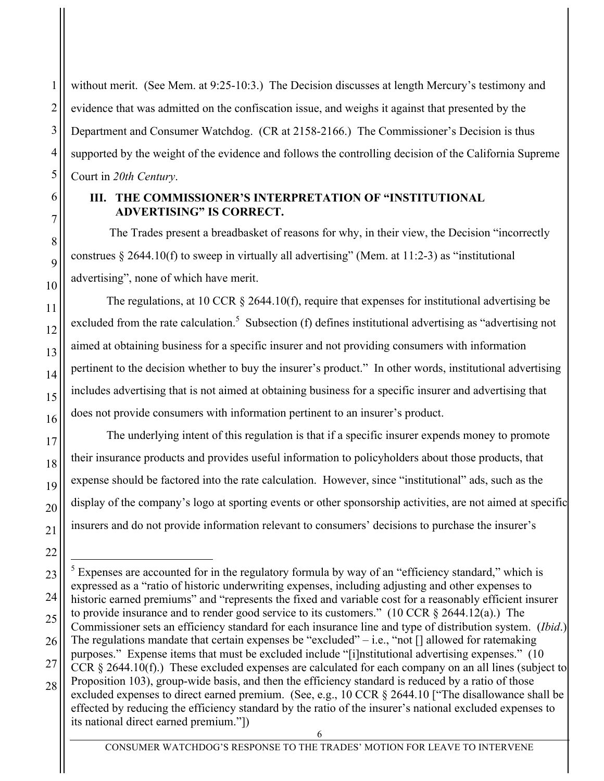without merit. (See Mem. at 9:25-10:3.) The Decision discusses at length Mercury's testimony and evidence that was admitted on the confiscation issue, and weighs it against that presented by the Department and Consumer Watchdog. (CR at 2158-2166.) The Commissioner's Decision is thus supported by the weight of the evidence and follows the controlling decision of the California Supreme Court in *20th Century*.

# **III. THE COMMISSIONER'S INTERPRETATION OF "INSTITUTIONAL ADVERTISING" IS CORRECT.**

The Trades present a breadbasket of reasons for why, in their view, the Decision "incorrectly construes  $\S$  2644.10(f) to sweep in virtually all advertising" (Mem. at 11:2-3) as "institutional advertising", none of which have merit.

The regulations, at 10 CCR § 2644.10(f), require that expenses for institutional advertising be excluded from the rate calculation.<sup>5</sup> Subsection (f) defines institutional advertising as "advertising not aimed at obtaining business for a specific insurer and not providing consumers with information pertinent to the decision whether to buy the insurer's product." In other words, institutional advertising includes advertising that is not aimed at obtaining business for a specific insurer and advertising that does not provide consumers with information pertinent to an insurer's product.

The underlying intent of this regulation is that if a specific insurer expends money to promote their insurance products and provides useful information to policyholders about those products, that expense should be factored into the rate calculation. However, since "institutional" ads, such as the display of the company's logo at sporting events or other sponsorship activities, are not aimed at specific insurers and do not provide information relevant to consumers' decisions to purchase the insurer's

CONSUMER WATCHDOG'S RESPONSE TO THE TRADES' MOTION FOR LEAVE TO INTERVENE

 $<sup>5</sup>$  Expenses are accounted for in the regulatory formula by way of an "efficiency standard," which is</sup> expressed as a "ratio of historic underwriting expenses, including adjusting and other expenses to historic earned premiums" and "represents the fixed and variable cost for a reasonably efficient insurer to provide insurance and to render good service to its customers." (10 CCR  $\S$  2644.12(a).) The Commissioner sets an efficiency standard for each insurance line and type of distribution system. (*Ibid*.) The regulations mandate that certain expenses be "excluded" $-$  i.e., "not  $\lceil$ ] allowed for ratemaking purposes." Expense items that must be excluded include "[i]nstitutional advertising expenses." (10 CCR § 2644.10(f).) These excluded expenses are calculated for each company on an all lines (subject to Proposition 103), group-wide basis, and then the efficiency standard is reduced by a ratio of those excluded expenses to direct earned premium. (See, e.g., 10 CCR § 2644.10 ["The disallowance shall be effected by reducing the efficiency standard by the ratio of the insurer's national excluded expenses to its national direct earned premium."])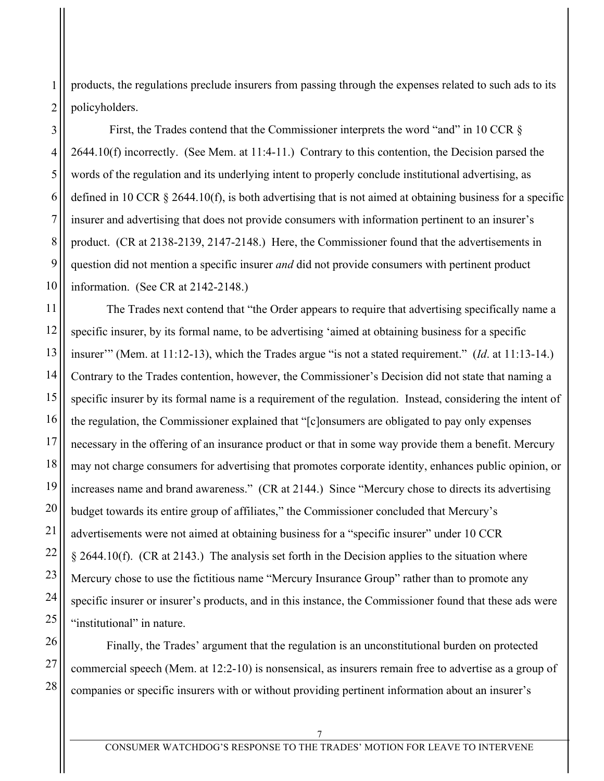products, the regulations preclude insurers from passing through the expenses related to such ads to its policyholders.

First, the Trades contend that the Commissioner interprets the word "and" in 10 CCR § 2644.10(f) incorrectly. (See Mem. at 11:4-11.) Contrary to this contention, the Decision parsed the words of the regulation and its underlying intent to properly conclude institutional advertising, as defined in 10 CCR  $\S$  2644.10(f), is both advertising that is not aimed at obtaining business for a specific insurer and advertising that does not provide consumers with information pertinent to an insurer's product. (CR at 2138-2139, 2147-2148.) Here, the Commissioner found that the advertisements in question did not mention a specific insurer *and* did not provide consumers with pertinent product information. (See CR at 2142-2148.)

The Trades next contend that "the Order appears to require that advertising specifically name a specific insurer, by its formal name, to be advertising 'aimed at obtaining business for a specific insurer'" (Mem. at 11:12-13), which the Trades argue "is not a stated requirement." (*Id*. at 11:13-14.) Contrary to the Trades contention, however, the Commissioner's Decision did not state that naming a specific insurer by its formal name is a requirement of the regulation. Instead, considering the intent of the regulation, the Commissioner explained that "[c]onsumers are obligated to pay only expenses necessary in the offering of an insurance product or that in some way provide them a benefit. Mercury may not charge consumers for advertising that promotes corporate identity, enhances public opinion, or increases name and brand awareness." (CR at 2144.) Since "Mercury chose to directs its advertising budget towards its entire group of affiliates," the Commissioner concluded that Mercury's advertisements were not aimed at obtaining business for a "specific insurer" under 10 CCR § 2644.10(f). (CR at 2143.) The analysis set forth in the Decision applies to the situation where Mercury chose to use the fictitious name "Mercury Insurance Group" rather than to promote any specific insurer or insurer's products, and in this instance, the Commissioner found that these ads were "institutional" in nature.

Finally, the Trades' argument that the regulation is an unconstitutional burden on protected commercial speech (Mem. at 12:2-10) is nonsensical, as insurers remain free to advertise as a group of companies or specific insurers with or without providing pertinent information about an insurer's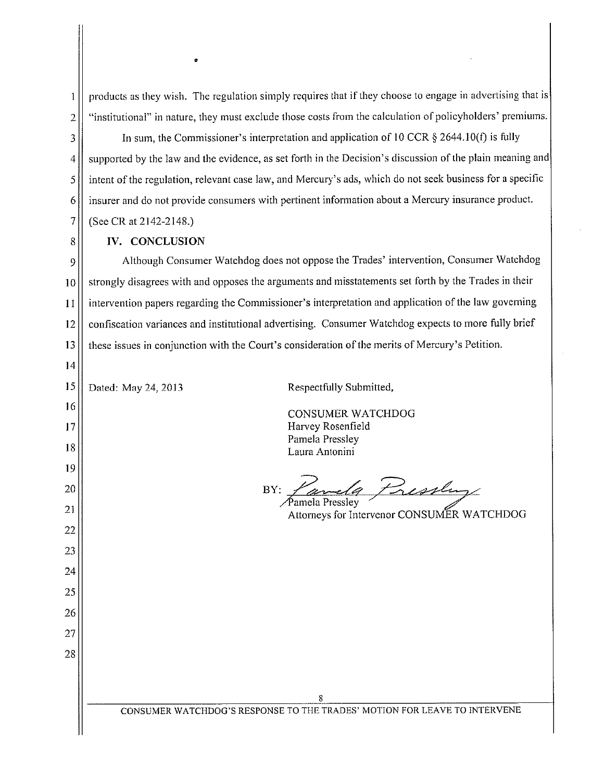products as they wish. The regulation simply requires that if they choose to engage in advertising that is "institutional" in nature, they must exclude those costs from the calculation of policyholders' premiums.

In sum, the Commissioner's interpretation and application of 10 CCR  $\S$  2644.10(f) is fully supported by the law and the evidence, as set forth in the Decision's discussion of the plain meaning and intent of the regulation, relevant case law, and Mercury's ads, which do not seek business for a specific insurer and do not provide consumers with pertinent information about a Mercury insurance product. (See CR at 2142-2148.)

#### IV. CONCLUSION

 $\mathbf{1}$ 

 $\overline{2}$ 

3

 $\overline{4}$ 

 $\vert$ 

6

 $\overline{7}$ 

8

 $14$ 

Although Consumer Watchdog does not oppose the Trades' intervention, Consumer Watchdog 9 strongly disagrees with and opposes the arguments and misstatements set forth by the Trades in their 10 intervention papers regarding the Commissioner's interpretation and application of the law governing 11 confiscation variances and institutional advertising. Consumer Watchdog expects to more fully brief 12 these issues in conjunction with the Court's consideration of the merits of Mercury's Petition. 13

| 15 | Dated: May 24, 2013 | Respectfully Submitted,                                                   |
|----|---------------------|---------------------------------------------------------------------------|
| 16 |                     | <b>CONSUMER WATCHDOG</b>                                                  |
| 17 |                     | Harvey Rosenfield                                                         |
| 18 |                     | Pamela Pressley<br>Laura Antonini                                         |
| 19 |                     |                                                                           |
| 20 |                     | Tessley<br>BY:                                                            |
| 21 |                     | Pamela Pressley<br>Attorneys for Intervenor CONSUMER WATCHDOG             |
| 22 |                     |                                                                           |
| 23 |                     |                                                                           |
| 24 |                     |                                                                           |
| 25 |                     |                                                                           |
| 26 |                     |                                                                           |
| 27 |                     |                                                                           |
| 28 |                     |                                                                           |
|    |                     |                                                                           |
|    |                     | 8                                                                         |
|    |                     | CONSUMER WATCHDOG'S RESPONSE TO THE TRADES' MOTION FOR LEAVE TO INTERVENE |
|    |                     |                                                                           |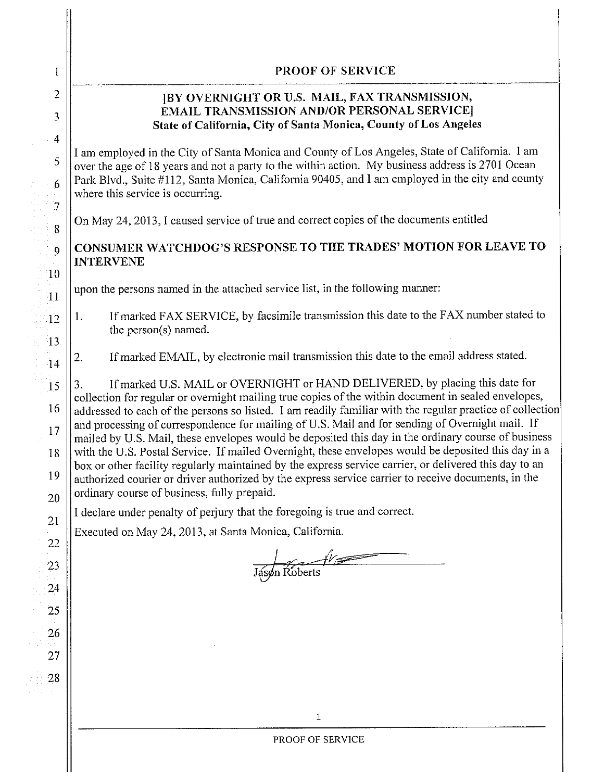# **PROOF OF SERVICE**

#### [BY OVERNIGHT OR U.S. MAIL, FAX TRANSMISSION, **EMAIL TRANSMISSION AND/OR PERSONAL SERVICE** State of California, City of Santa Monica, County of Los Angeles

I am employed in the City of Santa Monica and County of Los Angeles, State of California. I am over the age of 18 years and not a party to the within action. My business address is 2701 Ocean Park Blvd., Suite #112, Santa Monica, California 90405, and I am employed in the city and county where this service is occurring.

On May 24, 2013, I caused service of true and correct copies of the documents entitled

# CONSUMER WATCHDOG'S RESPONSE TO THE TRADES' MOTION FOR LEAVE TO **INTERVENE**

upon the persons named in the attached service list, in the following manner:

- If marked FAX SERVICE, by facsimile transmission this date to the FAX number stated to  $1<sub>1</sub>$ the person(s) named.
- If marked EMAIL, by electronic mail transmission this date to the email address stated. 2.

If marked U.S. MAIL or OVERNIGHT or HAND DELIVERED, by placing this date for  $3<sub>1</sub>$ collection for regular or overnight mailing true copies of the within document in sealed envelopes, addressed to each of the persons so listed. I am readily familiar with the regular practice of collection and processing of correspondence for mailing of U.S. Mail and for sending of Overnight mail. If mailed by U.S. Mail, these envelopes would be deposited this day in the ordinary course of business with the U.S. Postal Service. If mailed Overnight, these envelopes would be deposited this day in a box or other facility regularly maintained by the express service carrier, or delivered this day to an authorized courier or driver authorized by the express service carrier to receive documents, in the ordinary course of business, fully prepaid.

I declare under penalty of perjury that the foregoing is true and correct.

Executed on May 24, 2013, at Santa Monica, California.

Jáson Roberts

1

 $\overline{2}$ 

3

4

5

6

 $\overline{7}$ 

8

9

10

 $\overline{11}$ 

12

 $\overline{13}$ 

 $14$ 

15

16

17

18

19

20

21

22

23

24

25

26

27

28

 $\mathbf{1}$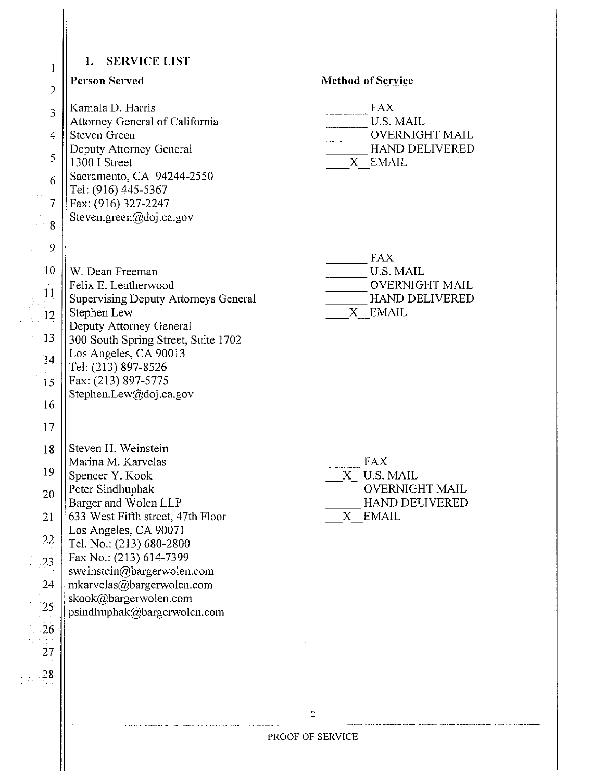#### 1. SERVICE LIST

#### **Person Served**

 $\mathbf{1}$ 

 $\overline{2}$ 

 $\overline{3}$ 

 $\overline{4}$ 

5

6

 $\overline{7}$ 

8

9

10

 $11$ 

12

13

14

15

16

17

26

27

 $28$ 

Kamala D. Harris Attorney General of California Steven Green Deputy Attorney General 1300 I Street Sacramento, CA 94244-2550 Tel: (916) 445-5367 Fax: (916) 327-2247 Steven.green@doj.ca.gov

#### **Method of Service**

| FAX                   |
|-----------------------|
| US MAIL               |
| <b>OVERNIGHT MAIL</b> |
| HAND DELIVERED        |
| <b>EMAIL</b>          |

W. Dean Freeman Felix E. Leatherwood **Supervising Deputy Attorneys General** Stephen Lew Deputy Attorney General 300 South Spring Street, Suite 1702 Los Angeles, CA 90013 Tel: (213) 897-8526 Fax: (213) 897-5775 Stephen.Lew@doj.ca.gov

Steven H. Weinstein 18 Marina M. Karvelas 19 Spencer Y. Kook Peter Sindhuphak 20 Barger and Wolen LLP 633 West Fifth street, 47th Floor 21 Los Angeles, CA 90071 22 Tel. No.: (213) 680-2800 Fax No.: (213) 614-7399 23 sweinstein@bargerwolen.com 24 mkarvelas@bargerwolen.com skook@bargerwolen.com 25 psindhuphak@bargerwolen.com

**FAX U.S. MAIL** 

- **OVERNIGHT MAIL**
- HAND DELIVERED
- X EMAIL

| FAX                   |
|-----------------------|
| X US MAIL             |
| <b>OVERNIGHT MAIL</b> |
| HAND DELIVERED        |
| EMAIL                 |